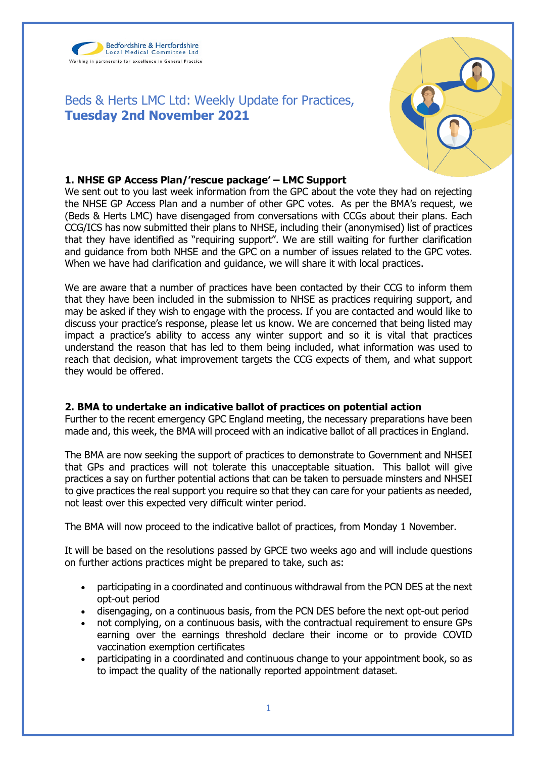Beds & Herts LMC Ltd: Weekly Update for Practices, **Tuesday 2nd November 2021**

Bedfordshire & Hertfordshire Local Medical Committee Ltd

Working in partnership for excellence in General Practice



# **1. NHSE GP Access Plan/'rescue package' – LMC Support**

We sent out to you last week information from the GPC about the vote they had on rejecting the NHSE GP Access Plan and a number of other GPC votes. As per the BMA's request, we (Beds & Herts LMC) have disengaged from conversations with CCGs about their plans. Each CCG/ICS has now submitted their plans to NHSE, including their (anonymised) list of practices that they have identified as "requiring support". We are still waiting for further clarification and guidance from both NHSE and the GPC on a number of issues related to the GPC votes. When we have had clarification and guidance, we will share it with local practices.

We are aware that a number of practices have been contacted by their CCG to inform them that they have been included in the submission to NHSE as practices requiring support, and may be asked if they wish to engage with the process. If you are contacted and would like to discuss your practice's response, please let us know. We are concerned that being listed may impact a practice's ability to access any winter support and so it is vital that practices understand the reason that has led to them being included, what information was used to reach that decision, what improvement targets the CCG expects of them, and what support they would be offered.

# **2. BMA to undertake an indicative ballot of practices on potential action**

Further to the recent emergency GPC England meeting, the necessary preparations have been made and, this week, the BMA will proceed with an indicative ballot of all practices in England.

The BMA are now seeking the support of practices to demonstrate to Government and NHSEI that GPs and practices will not tolerate this unacceptable situation. This ballot will give practices a say on further potential actions that can be taken to persuade minsters and NHSEI to give practices the real support you require so that they can care for your patients as needed, not least over this expected very difficult winter period.

The BMA will now proceed to the indicative ballot of practices, from Monday 1 November.

It will be based on the resolutions passed by GPCE two weeks ago and will include questions on further actions practices might be prepared to take, such as:

- participating in a coordinated and continuous withdrawal from the PCN DES at the next opt-out period
- disengaging, on a continuous basis, from the PCN DES before the next opt-out period
- not complying, on a continuous basis, with the contractual requirement to ensure GPs earning over the earnings threshold declare their income or to provide COVID vaccination exemption certificates
- participating in a coordinated and continuous change to your appointment book, so as to impact the quality of the nationally reported appointment dataset.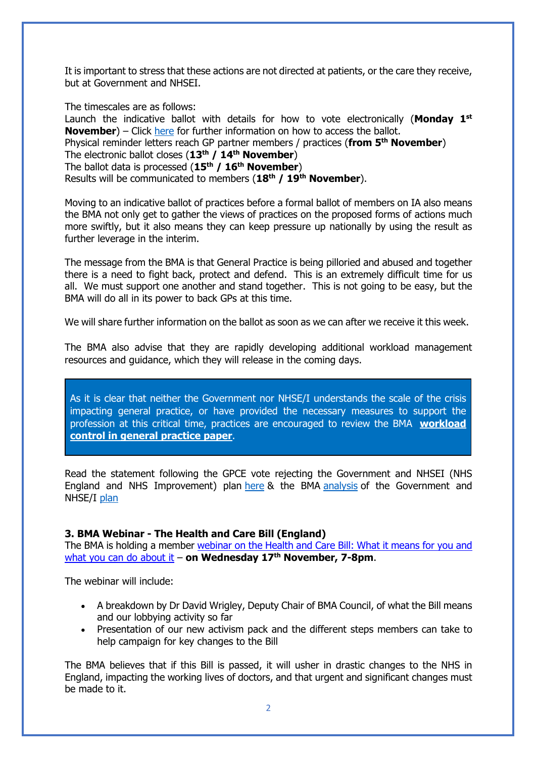It is important to stress that these actions are not directed at patients, or the care they receive, but at Government and NHSEI.

The timescales are as follows:

Launch the indicative ballot with details for how to vote electronically (**Monday 1st November**) – Click [here](https://www.bma.org.uk/what-we-do/committees/general-practitioners-committee/england-general-practitioners-committee?utm_source=The%20British%20Medical%20Association&utm_medium=email&utm_campaign=12769207_POE22Z1%20GPs%20update%20-%20ballet%20launch&dm_i=JVX,7LOS7,36IG12,UYFPS,1) for further information on how to access the ballot. Physical reminder letters reach GP partner members / practices (**from 5th November**) The electronic ballot closes (**13th / 14th November**) The ballot data is processed (**15th / 16th November**) Results will be communicated to members (**18th / 19th November**).

Moving to an indicative ballot of practices before a formal ballot of members on IA also means the BMA not only get to gather the views of practices on the proposed forms of actions much more swiftly, but it also means they can keep pressure up nationally by using the result as further leverage in the interim.

The message from the BMA is that General Practice is being pilloried and abused and together there is a need to fight back, protect and defend. This is an extremely difficult time for us all. We must support one another and stand together. This is not going to be easy, but the BMA will do all in its power to back GPs at this time.

We will share further information on the ballot as soon as we can after we receive it this week.

The BMA also advise that they are rapidly developing additional workload management resources and guidance, which they will release in the coming days.

As it is clear that neither the Government nor NHSE/I understands the scale of the crisis impacting general practice, or have provided the necessary measures to support the profession at this critical time, practices are encouraged to review the BMA **[workload](https://bma-mail.org.uk/t/JVX-7L3DW-JCJOU4-4LL1A2-1/c.aspx)  [control in general](https://bma-mail.org.uk/t/JVX-7L3DW-JCJOU4-4LL1A2-1/c.aspx) practice paper**.

Read the statement following the GPCE vote rejecting the Government and NHSEI (NHS England and NHS Improvement) plan [here](https://bma-mail.org.uk/t/JVX-7L771-EC5E0CEA0D8A5317JCJOU4BA186991484320BE/cr.aspx) & the BMA [analysis](https://www.bma.org.uk/media/4702/bma-analysis-of-nhsei-package-for-general-practice-oct21.pdf) of the Government and NHSE/I [plan](https://www.england.nhs.uk/coronavirus/publication/our-plan-for-improving-access-for-patients-and-supporting-general-practice/) 

# **3. BMA Webinar - The Health and Care Bill (England)**

The BMA is holding a member [webinar on the Health and Care Bill: What it means for you and](https://events.bma.org.uk/the-health-and-care-bill/registration)  [what you can do about it](https://events.bma.org.uk/the-health-and-care-bill/registration) – **on Wednesday 17th November, 7-8pm**.

The webinar will include:

- A breakdown by Dr David Wrigley, Deputy Chair of BMA Council, of what the Bill means and our lobbying activity so far
- Presentation of our new activism pack and the different steps members can take to help campaign for key changes to the Bill

The BMA believes that if this Bill is passed, it will usher in drastic changes to the NHS in England, impacting the working lives of doctors, and that urgent and significant changes must be made to it.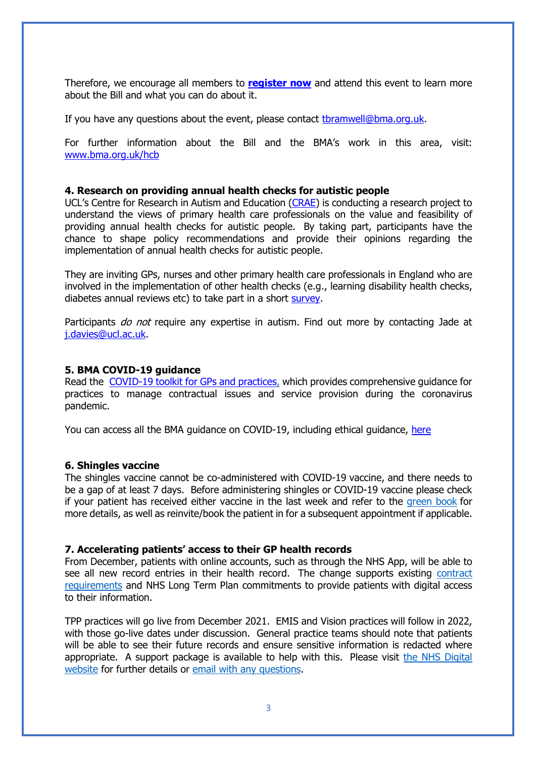Therefore, we encourage all members to **[register now](https://events.bma.org.uk/the-health-and-care-bill/registration)** and attend this event to learn more about the Bill and what you can do about it.

If you have any questions about the event, please contact [tbramwell@bma.org.uk.](mailto:tbramwell@bma.org.uk)

For further information about the Bill and the BMA's work in this area, visit: [www.bma.org.uk/hcb](http://www.bma.org.uk/hcb)

#### **4. Research on providing annual health checks for autistic people**

UCL's Centre for Research in Autism and Education [\(CRAE\)](https://crae.ioe.ac.uk/) is conducting a research project to understand the views of primary health care professionals on the value and feasibility of providing annual health checks for autistic people. By taking part, participants have the chance to shape policy recommendations and provide their opinions regarding the implementation of annual health checks for autistic people.

They are inviting GPs, nurses and other primary health care professionals in England who are involved in the implementation of other health checks (e.g., learning disability health checks, diabetes annual reviews etc) to take part in a short [survey.](https://bit.ly/ahc-register-interest)

Participants *do not* require any expertise in autism. Find out more by contacting Jade at [j.davies@ucl.ac.uk.](mailto:j.davies@ucl.ac.uk)

## **5. [BMA COVID-19 guidance](https://www.bma.org.uk/advice-and-support/covid-19)**

Read the [COVID-19 toolkit for GPs and practices,](https://www.bma.org.uk/advice-and-support/covid-19/practical-guidance/covid-19-toolkit-for-gps-and-gp-practices) which provides comprehensive guidance for practices to manage contractual issues and service provision during the coronavirus pandemic.

You can access all the BMA guidance on COVID-19, including ethical guidance, [here](https://www.bma.org.uk/advice-and-support/covid-19)

## **6. Shingles vaccine**

The shingles vaccine cannot be co-administered with COVID-19 vaccine, and there needs to be a gap of at least 7 days. Before administering shingles or COVID-19 vaccine please check if your patient has received either vaccine in the last week and refer to the [green book](https://generalpracticebulletin.cmail19.com/t/d-l-atykruy-tjulmykul-j/) for more details, as well as reinvite/book the patient in for a subsequent appointment if applicable.

## **7. Accelerating patients' access to their GP health records**

From December, patients with online accounts, such as through the NHS App, will be able to see all new record entries in their health record. The change supports existing [contract](https://generalpracticebulletin.cmail19.com/t/d-l-atykruy-tjulmykul-d/)  [requirements](https://generalpracticebulletin.cmail19.com/t/d-l-atykruy-tjulmykul-d/) and NHS Long Term Plan commitments to provide patients with digital access to their information.

TPP practices will go live from December 2021. EMIS and Vision practices will follow in 2022, with those go-live dates under discussion. General practice teams should note that patients will be able to see their future records and ensure sensitive information is redacted where appropriate. A support package is available to help with this. Please visit the NHS Digital [website](https://generalpracticebulletin.cmail19.com/t/d-l-atykruy-tjulmykul-h/) for further details or [email with any questions.](mailto:England.NHSXimplementation@nhs.net)